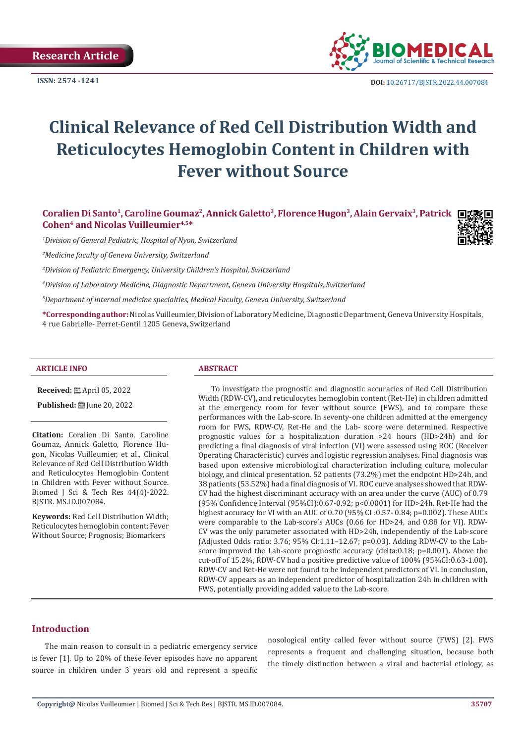

**ISSN:** 2574 -1241 **DOI:** [10.26717/BJSTR.2022.44.007084](https://dx.doi.org/10.26717/BJSTR.2022.44.007084)

# **Clinical Relevance of Red Cell Distribution Width and Reticulocytes Hemoglobin Content in Children with Fever without Source**

Coralien Di Santo<sup>1</sup>, Caroline Goumaz<sup>2</sup>, Annick Galetto<sup>3</sup>, Florence Hugon<sup>3</sup>, Alain Gervaix<sup>3</sup>, Patrick **□ Cohen4 and Nicolas Vuilleumier4,5\***

*1 Division of General Pediatric, Hospital of Nyon, Switzerland*

*2 Medicine faculty of Geneva University, Switzerland*

*3 Division of Pediatric Emergency, University Children's Hospital, Switzerland*

*4 Division of Laboratory Medicine, Diagnostic Department, Geneva University Hospitals, Switzerland*

*5 Department of internal medicine specialties, Medical Faculty, Geneva University, Switzerland*

**\*Corresponding author:** Nicolas Vuilleumier, Division of Laboratory Medicine, Diagnostic Department, Geneva University Hospitals, 4 rue Gabrielle- Perret-Gentil 1205 Geneva, Switzerland

#### **ARTICLE INFO ABSTRACT**

**Received:** April 05, 2022

**Published:** [D] June 20, 2022

**Citation:** Coralien Di Santo, Caroline Goumaz, Annick Galetto, Florence Hugon, Nicolas Vuilleumier, et al., Clinical Relevance of Red Cell Distribution Width and Reticulocytes Hemoglobin Content in Children with Fever without Source. Biomed J Sci & Tech Res 44(4)-2022. BJSTR. MS.ID.007084.

**Keywords:** Red Cell Distribution Width; Reticulocytes hemoglobin content; Fever Without Source; Prognosis; Biomarkers

To investigate the prognostic and diagnostic accuracies of Red Cell Distribution Width (RDW-CV), and reticulocytes hemoglobin content (Ret-He) in children admitted at the emergency room for fever without source (FWS), and to compare these performances with the Lab-score. In seventy-one children admitted at the emergency room for FWS, RDW-CV, Ret-He and the Lab- score were determined. Respective prognostic values for a hospitalization duration >24 hours (HD>24h) and for predicting a final diagnosis of viral infection (VI) were assessed using ROC (Receiver Operating Characteristic) curves and logistic regression analyses. Final diagnosis was based upon extensive microbiological characterization including culture, molecular biology, and clinical presentation. 52 patients (73.2%) met the endpoint HD>24h, and 38 patients (53.52%) had a final diagnosis of VI. ROC curve analyses showed that RDW-CV had the highest discriminant accuracy with an area under the curve (AUC) of 0.79 (95% Confidence Interval (95%CI):0.67-0.92; p<0.0001) for HD>24h. Ret-He had the highest accuracy for VI with an AUC of 0.70 (95% CI :0.57- 0.84; p=0.002). These AUCs were comparable to the Lab-score's AUCs (0.66 for HD>24, and 0.88 for VI). RDW-CV was the only parameter associated with HD>24h, independently of the Lab-score (Adjusted Odds ratio: 3.76; 95% CI:1.11–12.67; p=0.03). Adding RDW-CV to the Labscore improved the Lab-score prognostic accuracy (delta:0.18; p=0.001). Above the cut-off of 15.2%, RDW-CV had a positive predictive value of 100% (95%CI:0.63-1.00). RDW-CV and Ret-He were not found to be independent predictors of VI. In conclusion, RDW-CV appears as an independent predictor of hospitalization 24h in children with FWS, potentially providing added value to the Lab-score.

# **Introduction**

The main reason to consult in a pediatric emergency service is fever [1]. Up to 20% of these fever episodes have no apparent source in children under 3 years old and represent a specific

nosological entity called fever without source (FWS) [2]. FWS represents a frequent and challenging situation, because both the timely distinction between a viral and bacterial etiology, as

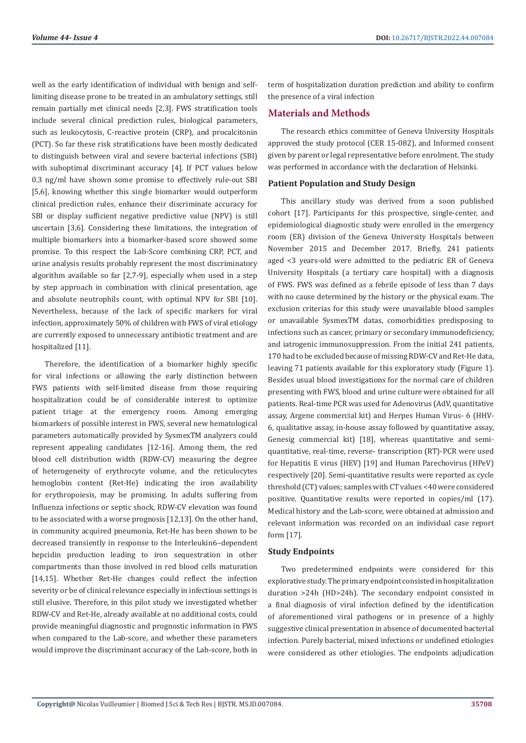well as the early identification of individual with benign and selflimiting disease prone to be treated in an ambulatory settings, still remain partially met clinical needs [2,3]. FWS stratification tools include several clinical prediction rules, biological parameters, such as leukocytosis, C-reactive protein (CRP), and procalcitonin (PCT). So far these risk stratifications have been mostly dedicated to distinguish between viral and severe bacterial infections (SBI) with suboptimal discriminant accuracy [4]. If PCT values below 0.3 ng/ml have shown some promise to effectively rule-out SBI [5,6], knowing whether this single biomarker would outperform clinical prediction rules, enhance their discriminate accuracy for SBI or display sufficient negative predictive value (NPV) is still uncertain [3,6]. Considering these limitations, the integration of multiple biomarkers into a biomarker-based score showed some promise. To this respect the Lab-Score combining CRP, PCT, and urine analysis results probably represent the most discriminatory algorithm available so far [2,7-9], especially when used in a step by step approach in combination with clinical presentation, age and absolute neutrophils count, with optimal NPV for SBI [10]. Nevertheless, because of the lack of specific markers for viral infection, approximately 50% of children with FWS of viral etiology are currently exposed to unnecessary antibiotic treatment and are hospitalized [11].

Therefore, the identification of a biomarker highly specific for viral infections or allowing the early distinction between FWS patients with self-limited disease from those requiring hospitalization could be of considerable interest to optimize patient triage at the emergency room. Among emerging biomarkers of possible interest in FWS, several new hematological parameters automatically provided by SysmexTM analyzers could represent appealing candidates [12-16]. Among them, the red blood cell distribution width (RDW-CV) measuring the degree of heterogeneity of erythrocyte volume, and the reticulocytes hemoglobin content (Ret-He) indicating the iron availability for erythropoiesis, may be promising. In adults suffering from Influenza infections or septic shock, RDW-CV elevation was found to be associated with a worse prognosis [12,13]. On the other hand, in community acquired pneumonia, Ret-He has been shown to be decreased transiently in response to the Interleukin6–dependent hepcidin production leading to iron sequestration in other compartments than those involved in red blood cells maturation [14,15]. Whether Ret-He changes could reflect the infection severity or be of clinical relevance especially in infectious settings is still elusive. Therefore, in this pilot study we investigated whether RDW-CV and Ret-He, already available at no additional costs, could provide meaningful diagnostic and prognostic information in FWS when compared to the Lab-score, and whether these parameters would improve the discriminant accuracy of the Lab-score, both in

term of hospitalization duration prediction and ability to confirm the presence of a viral infection

# **Materials and Methods**

The research ethics committee of Geneva University Hospitals approved the study protocol (CER 15-082), and Informed consent given by parent or legal representative before enrolment. The study was performed in accordance with the declaration of Helsinki.

# **Patient Population and Study Design**

This ancillary study was derived from a soon published cohort [17]. Participants for this prospective, single-center, and epidemiological diagnostic study were enrolled in the emergency room (ER) division of the Geneva University Hospitals between November 2015 and December 2017. Briefly, 241 patients aged <3 years-old were admitted to the pediatric ER of Geneva University Hospitals (a tertiary care hospital) with a diagnosis of FWS. FWS was defined as a febrile episode of less than 7 days with no cause determined by the history or the physical exam. The exclusion criterias for this study were unavailable blood samples or unavailable SysmexTM datas, comorbidities predisposing to infections such as cancer, primary or secondary immunodeficiency, and iatrogenic immunosuppression. From the initial 241 patients, 170 had to be excluded because of missing RDW-CV and Ret-He data, leaving 71 patients available for this exploratory study (Figure 1). Besides usual blood investigations for the normal care of children presenting with FWS, blood and urine culture were obtained for all patients. Real-time PCR was used for Adenovirus (AdV, quantitative assay, Argene commercial kit) and Herpes Human Virus- 6 (HHV-6, qualitative assay, in-house assay followed by quantitative assay, Genesig commercial kit) [18], whereas quantitative and semiquantitative, real-time, reverse- transcription (RT)-PCR were used for Hepatitis E virus (HEV) [19] and Human Parechovirus (HPeV) respectively [20]. Semi-quantitative results were reported as cycle threshold (CT) values; samples with CT values <40 were considered positive. Quantitative results were reported in copies/ml (17). Medical history and the Lab-score, were obtained at admission and relevant information was recorded on an individual case report form [17].

### **Study Endpoints**

Two predetermined endpoints were considered for this explorative study. The primary endpoint consisted in hospitalization duration >24h (HD>24h). The secondary endpoint consisted in a final diagnosis of viral infection defined by the identification of aforementioned viral pathogens or in presence of a highly suggestive clinical presentation in absence of documented bacterial infection. Purely bacterial, mixed infections or undefined etiologies were considered as other etiologies. The endpoints adjudication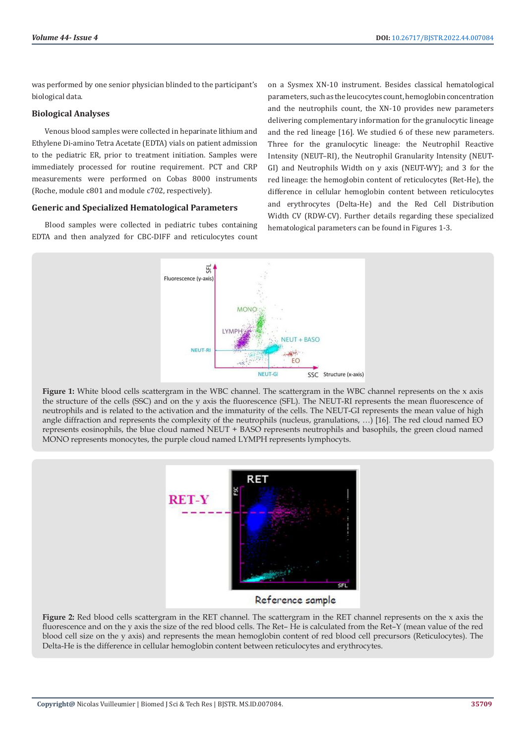was performed by one senior physician blinded to the participant's biological data.

#### **Biological Analyses**

Venous blood samples were collected in heparinate lithium and Ethylene Di-amino Tetra Acetate (EDTA) vials on patient admission to the pediatric ER, prior to treatment initiation. Samples were immediately processed for routine requirement. PCT and CRP measurements were performed on Cobas 8000 instruments (Roche, module c801 and module c702, respectively).

#### **Generic and Specialized Hematological Parameters**

Blood samples were collected in pediatric tubes containing EDTA and then analyzed for CBC-DIFF and reticulocytes count on a Sysmex XN-10 instrument. Besides classical hematological parameters, such as the leucocytes count, hemoglobin concentration and the neutrophils count, the XN-10 provides new parameters delivering complementary information for the granulocytic lineage and the red lineage [16]. We studied 6 of these new parameters. Three for the granulocytic lineage: the Neutrophil Reactive Intensity (NEUT–RI), the Neutrophil Granularity Intensity (NEUT-GI) and Neutrophils Width on y axis (NEUT-WY); and 3 for the red lineage: the hemoglobin content of reticulocytes (Ret-He), the difference in cellular hemoglobin content between reticulocytes and erythrocytes (Delta-He) and the Red Cell Distribution Width CV (RDW-CV). Further details regarding these specialized hematological parameters can be found in Figures 1-3.



**Figure 1:** White blood cells scattergram in the WBC channel. The scattergram in the WBC channel represents on the x axis the structure of the cells (SSC) and on the y axis the fluorescence (SFL). The NEUT-RI represents the mean fluorescence of neutrophils and is related to the activation and the immaturity of the cells. The NEUT-GI represents the mean value of high angle diffraction and represents the complexity of the neutrophils (nucleus, granulations, …) [16]. The red cloud named EO represents eosinophils, the blue cloud named NEUT + BASO represents neutrophils and basophils, the green cloud named MONO represents monocytes, the purple cloud named LYMPH represents lymphocyts.



Reference sample

**Figure 2:** Red blood cells scattergram in the RET channel. The scattergram in the RET channel represents on the x axis the fluorescence and on the y axis the size of the red blood cells. The Ret– He is calculated from the Ret–Y (mean value of the red blood cell size on the y axis) and represents the mean hemoglobin content of red blood cell precursors (Reticulocytes). The Delta-He is the difference in cellular hemoglobin content between reticulocytes and erythrocytes.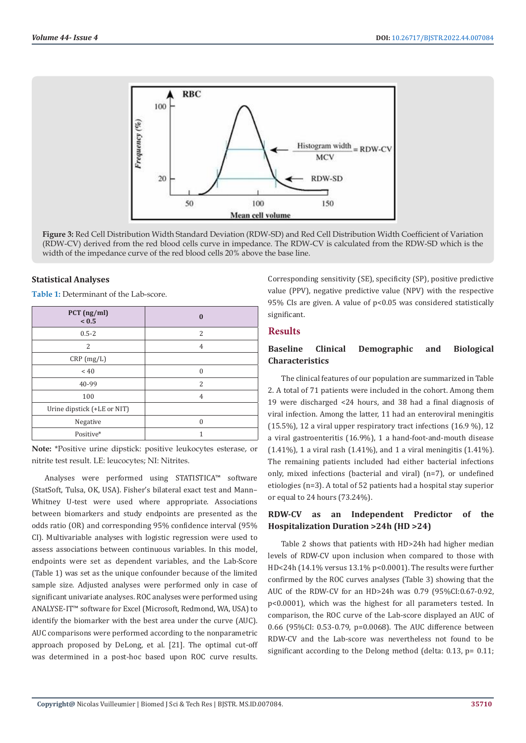

**Figure 3:** Red Cell Distribution Width Standard Deviation (RDW-SD) and Red Cell Distribution Width Coefficient of Variation (RDW-CV) derived from the red blood cells curve in impedance. The RDW-CV is calculated from the RDW-SD which is the width of the impedance curve of the red blood cells 20% above the base line.

#### **Statistical Analyses**

**Table 1:** Determinant of the Lab-score.

| PCT (ng/ml)<br>${}_{0.5}$   | $\mathbf{0}$   |
|-----------------------------|----------------|
| $0.5 - 2$                   | $\overline{c}$ |
| 2                           | 4              |
| CRP(mg/L)                   |                |
| $~<$ 40                     | $\Omega$       |
| 40-99                       | $\overline{c}$ |
| 100                         | 4              |
| Urine dipstick (+LE or NIT) |                |
| Negative                    | $\Omega$       |
| Positive*                   |                |

**Note:** \*Positive urine dipstick: positive leukocytes esterase, or nitrite test result. LE: leucocytes; NI: Nitrites.

Analyses were performed using STATISTICA™ software (StatSoft, Tulsa, OK, USA). Fisher's bilateral exact test and Mann– Whitney U-test were used where appropriate. Associations between biomarkers and study endpoints are presented as the odds ratio (OR) and corresponding 95% confidence interval (95% CI). Multivariable analyses with logistic regression were used to assess associations between continuous variables. In this model, endpoints were set as dependent variables, and the Lab-Score (Table 1) was set as the unique confounder because of the limited sample size. Adjusted analyses were performed only in case of significant univariate analyses. ROC analyses were performed using ANALYSE-IT™ software for Excel (Microsoft, Redmond, WA, USA) to identify the biomarker with the best area under the curve (AUC). AUC comparisons were performed according to the nonparametric approach proposed by DeLong, et al. [21]. The optimal cut-off was determined in a post-hoc based upon ROC curve results.

Corresponding sensitivity (SE), specificity (SP), positive predictive value (PPV), negative predictive value (NPV) with the respective 95% CIs are given. A value of p<0.05 was considered statistically significant.

### **Results**

# **Baseline Clinical Demographic and Biological Characteristics**

The clinical features of our population are summarized in Table 2. A total of 71 patients were included in the cohort. Among them 19 were discharged <24 hours, and 38 had a final diagnosis of viral infection. Among the latter, 11 had an enteroviral meningitis (15.5%), 12 a viral upper respiratory tract infections (16.9 %), 12 a viral gastroenteritis (16.9%), 1 a hand-foot-and-mouth disease (1.41%), 1 a viral rash (1.41%), and 1 a viral meningitis (1.41%). The remaining patients included had either bacterial infections only, mixed infections (bacterial and viral) (n=7), or undefined etiologies (n=3). A total of 52 patients had a hospital stay superior or equal to 24 hours (73.24%).

# **RDW-CV as an Independent Predictor of the Hospitalization Duration >24h (HD >24)**

Table 2 shows that patients with HD>24h had higher median levels of RDW-CV upon inclusion when compared to those with HD<24h (14.1% versus 13.1% p<0.0001). The results were further confirmed by the ROC curves analyses (Table 3) showing that the AUC of the RDW-CV for an HD>24h was 0.79 (95%CI:0.67-0.92, p<0.0001), which was the highest for all parameters tested. In comparison, the ROC curve of the Lab-score displayed an AUC of 0.66 (95%CI: 0.53-0.79, p=0.0068). The AUC difference between RDW-CV and the Lab-score was nevertheless not found to be significant according to the Delong method (delta: 0.13, p= 0.11;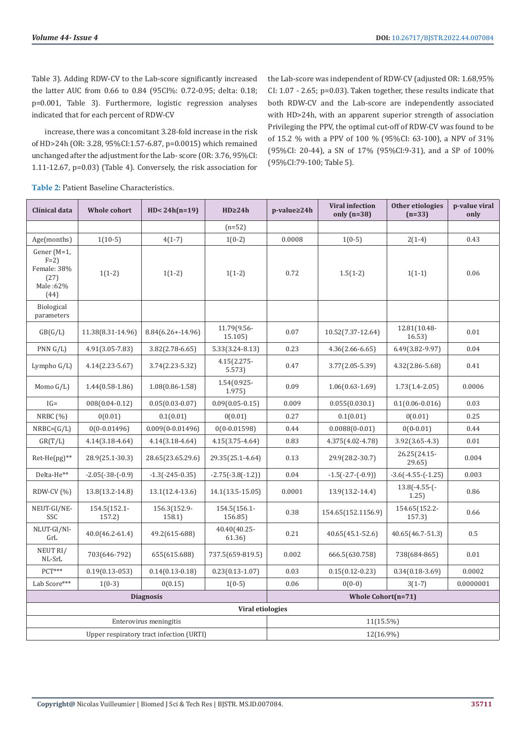Table 3). Adding RDW-CV to the Lab-score significantly increased the latter AUC from 0.66 to 0.84 (95CI%: 0.72-0.95; delta: 0.18; p=0.001, Table 3). Furthermore, logistic regression analyses indicated that for each percent of RDW-CV

increase, there was a concomitant 3.28-fold increase in the risk of HD>24h (OR: 3.28, 95%CI:1.57-6.87, p=0.0015) which remained unchanged after the adjustment for the Lab- score (OR: 3.76, 95%CI: 1.11-12.67, p=0.03) (Table 4). Conversely, the risk association for the Lab-score was independent of RDW-CV (adjusted OR: 1.68,95% CI: 1.07 - 2.65; p=0.03). Taken together, these results indicate that both RDW-CV and the Lab-score are independently associated with HD>24h, with an apparent superior strength of association Privileging the PPV, the optimal cut-off of RDW-CV was found to be of 15.2 % with a PPV of 100 % (95%CI: 63-100), a NPV of 31% (95%CI: 20-44), a SN of 17% (95%CI:9-31), and a SP of 100% (95%CI:79-100; Table 5).

| Clínical data                                                   | Whole cohort          | $HD < 24h(n=19)$       | HD <sub>24h</sub>       | p-value≥24h | <b>Viral infection</b><br>only $(n=38)$ | Other etiologies<br>$(n=33)$ | p-value viral<br>only |
|-----------------------------------------------------------------|-----------------------|------------------------|-------------------------|-------------|-----------------------------------------|------------------------------|-----------------------|
|                                                                 |                       |                        | $(n=52)$                |             |                                         |                              |                       |
| Age(months)                                                     | $1(10-5)$             | $4(1-7)$               | $1(0-2)$                | 0.0008      | $1(0-5)$                                | $2(1-4)$                     | 0.43                  |
| Gener (M=1,<br>$F=2$<br>Female: 38%<br>(27)<br>Male:62%<br>(44) | $1(1-2)$              | $1(1-2)$               | $1(1-2)$                | 0.72        | $1.5(1-2)$                              | $1(1-1)$                     | 0.06                  |
| <b>Biological</b><br>parameters                                 |                       |                        |                         |             |                                         |                              |                       |
| GB(G/L)                                                         | 11.38(8.31-14.96)     | $8.84(6.26 + -14.96)$  | 11.79(9.56-<br>15.105)  | 0.07        | 10.52(7.37-12.64)                       | 12.81(10.48-<br>16.53)       | 0.01                  |
| PNN G/L                                                         | 4.91(3.05-7.83)       | $3.82(2.78-6.65)$      | 5.33(3.24-8.13)         | 0.23        | $4.36(2.66 - 6.65)$                     | 6.49(3.82-9.97)              | 0.04                  |
| Lympho $G/L$ )                                                  | $4.14(2.23 - 5.67)$   | $3.74(2.23 - 5.32)$    | $4.15(2.275 -$<br>5.573 | 0.47        | 3.77(2.05-5.39)                         | 4.32(2.86-5.68)              | 0.41                  |
| Momo $G/L$ )                                                    | $1.44(0.58-1.86)$     | $1.08(0.86 - 1.58)$    | 1.54(0.925-<br>1.975    | 0.09        | $1.06(0.63 - 1.69)$                     | $1.73(1.4 - 2.05)$           | 0.0006                |
| $IG=$                                                           | 008(0.04-0.12)        | $0.05(0.03 - 0.07)$    | $0.09(0.05 - 0.15)$     | 0.009       | 0.055(0.030.1)                          | $0.1(0.06 - 0.016)$          | 0.03                  |
| NRBC $(%)$                                                      | 0(0.01)               | 0.1(0.01)              | 0(0.01)                 | 0.27        | 0.1(0.01)                               | 0(0.01)                      | 0.25                  |
| $NRBC=(G/L)$                                                    | $0(0-0.01496)$        | $0.009(0-0.01496)$     | $0(0-0.01598)$          | 0.44        | $0.0088(0-0.01)$                        | $0(0-0.01)$                  | 0.44                  |
| GR(T/L)                                                         | $4.14(3.18-4.64)$     | $4.14(3.18-4.64)$      | $4.15(3.75 - 4.64)$     | 0.83        | 4.375(4.02-4.78)                        | $3.92(3.65 - 4.3)$           | 0.01                  |
| $Ret\text{-}He(pg)$ **                                          | 28.9(25.1-30.3)       | 28.65(23.65.29.6)      | 29.35(25.1-4.64)        | 0.13        | 29.9(28.2-30.7)                         | 26.25(24.15-<br>29.65        | 0.004                 |
| Delta-He**                                                      | $-2.05(-38-(-0.9))$   | $-1.3(-245-0.35)$      | $-2.75(-3.8(-1.2))$     | 0.04        | $-1.5(-2.7-(-0.9))$                     | $-3.6(-4.55-(-1.25))$        | 0.003                 |
| RDW-CV $(%)$                                                    | 13.8(13.2-14.8)       | 13.1(12.4-13.6)        | 14.1(13.5-15.05)        | 0.0001      | 13.9(13.2-14.4)                         | $13.8(-4.55-(-$<br>1.25)     | 0.86                  |
| NEUT-GI/NE-<br>SSC                                              | 154.5(152.1-<br>157.2 | 156.3(152.9-<br>158.1) | 154.5(156.1-<br>156.85) | 0.38        | 154.65(152.1156.9)                      | 154.65(152.2-<br>157.3)      | 0.66                  |
| NLUT-GI/Nl-<br>GrL                                              | $40.0(46.2 - 61.4)$   | 49.2(615-688)          | 40.40(40.25-<br>61.36   | 0.21        | $40.65(45.1 - 52.6)$                    | 40.65(46.7-51.3)             | 0.5                   |
| NEUT RI/<br>NL-SrL                                              | 703(646-792)          | 655(615.688)           | 737.5(659-819.5)        | 0.002       | 666.5(630.758)                          | 738(684-865)                 | 0.01                  |
| $PCT***$                                                        | $0.19(0.13-053)$      | $0.14(0.13-0.18)$      | $0.23(0.13 - 1.07)$     | 0.03        | $0.15(0.12 - 0.23)$                     | $0.34(0.18-3.69)$            | 0.0002                |
| Lab Score***                                                    | $1(0-3)$              | 0(0.15)                | $1(0-5)$                | 0.06        | $0(0-0)$                                | $3(1-7)$                     | 0.0000001             |
| <b>Diagnosis</b>                                                |                       | Whole Cohort(n=71)     |                         |             |                                         |                              |                       |
| <b>Viral etiologies</b>                                         |                       |                        |                         |             |                                         |                              |                       |
| Enterovirus meningitis                                          |                       |                        | 11(15.5%)               |             |                                         |                              |                       |
| Upper respiratory tract infection (URTI)                        |                       |                        | 12(16.9%)               |             |                                         |                              |                       |

**Table 2:** Patient Baseline Characteristics.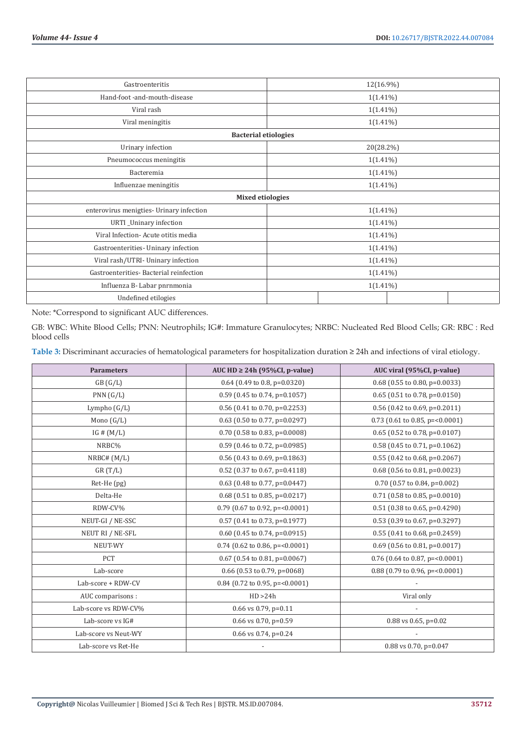| Gastroenteritis                          | 12(16.9%)   |  |  |
|------------------------------------------|-------------|--|--|
| Hand-foot -and-mouth-disease             | $1(1.41\%)$ |  |  |
| Viral rash                               | $1(1.41\%)$ |  |  |
| Viral meningitis                         | $1(1.41\%)$ |  |  |
| <b>Bacterial etiologies</b>              |             |  |  |
| Urinary infection                        | 20(28.2%)   |  |  |
| Pneumococcus meningitis                  | $1(1.41\%)$ |  |  |
| Bacteremia                               | $1(1.41\%)$ |  |  |
| Influenzae meningitis                    | $1(1.41\%)$ |  |  |
| <b>Mixed etiologies</b>                  |             |  |  |
| enterovirus menigties- Urinary infection | $1(1.41\%)$ |  |  |
| URTI_Uninary infection                   | $1(1.41\%)$ |  |  |
| Viral Infection-Acute otitis media       | $1(1.41\%)$ |  |  |
| Gastroenterities- Uninary infection      | $1(1.41\%)$ |  |  |
| Viral rash/UTRI- Uninary infection       | $1(1.41\%)$ |  |  |
| Gastroenterities-Bacterial reinfection   | $1(1.41\%)$ |  |  |
| Influenza B- Labar pnrnmonia             | $1(1.41\%)$ |  |  |
| Undefined etilogies                      |             |  |  |

Note: \*Correspond to significant AUC differences.

GB: WBC: White Blood Cells; PNN: Neutrophils; IG#: Immature Granulocytes; NRBC: Nucleated Red Blood Cells; GR: RBC : Red blood cells

**Table 3:** Discriminant accuracies of hematological parameters for hospitalization duration ≥ 24h and infections of viral etiology.

| <b>Parameters</b>    | AUC HD $\geq$ 24h (95%CI, p-value) | AUC viral (95%CI, p-value)         |
|----------------------|------------------------------------|------------------------------------|
| GB(G/L)              | $0.64$ (0.49 to 0.8, p=0.0320)     | $0.68$ (0.55 to 0.80, p=0.0033)    |
| PNN(G/L)             | $0.59$ (0.45 to 0.74, p=0.1057)    | $0.65$ (0.51 to 0.78, p=0.0150)    |
| Lympho $(G/L)$       | 0.56 (0.41 to 0.70, p=0.2253)      | 0.56 (0.42 to 0.69, p=0.2011)      |
| Mono $(G/L)$         | $0.63$ (0.50 to 0.77, p=0.0297)    | $0.73$ (0.61 to 0.85, p= < 0.0001) |
| IG # $(M/L)$         | $0.70$ (0.58 to 0.83, p=0.0008)    | $0.65$ (0.52 to 0.78, p=0.0107)    |
| NRBC%                | $0.59$ (0.46 to 0.72, p=0.0985)    | $0.58$ (0.45 to 0.71, p=0.1062)    |
| NRBC# (M/L)          | $0.56$ (0.43 to 0.69, p=0.1863)    | 0.55 (0.42 to 0.68, p=0.2067)      |
| GR(T/L)              | $0.52$ (0.37 to 0.67, p=0.4118)    | $0.68$ (0.56 to 0.81, p=0.0023)    |
| Ret-He (pg)          | 0.63 (0.48 to 0.77, p=0.0447)      | 0.70 (0.57 to 0.84, p=0.002)       |
| Delta-He             | $0.68$ (0.51 to 0.85, p=0.0217)    | $0.71$ (0.58 to 0.85, p=0.0010)    |
| RDW-CV%              | $0.79$ (0.67 to 0.92, p= < 0.0001) | $0.51$ (0.38 to 0.65, p=0.4290)    |
| NEUT-GI / NE-SSC     | $0.57$ (0.41 to 0.73, p=0.1977)    | 0.53 (0.39 to 0.67, p=0.3297)      |
| NEUT RI / NE-SFL     | $0.60$ (0.45 to 0.74, p=0.0915)    | $0.55$ (0.41 to 0.68, p=0.2459)    |
| NEUT-WY              | $0.74$ (0.62 to 0.86, p= < 0.0001) | $0.69$ (0.56 to 0.81, p=0.0017)    |
| <b>PCT</b>           | $0.67$ (0.54 to 0.81, p=0.0067)    | 0.76 (0.64 to 0.87, p= $<$ 0.0001) |
| Lab-score            | 0.66 (0.53 to 0.79, $p=0068$ )     | 0.88 (0.79 to 0.96, p= $<$ 0.0001) |
| Lab-score + RDW-CV   | 0.84 (0.72 to 0.95, p= $0.0001$ )  |                                    |
| AUC comparisons :    | HD > 24h                           | Viral only                         |
| Lab-score vs RDW-CV% | $0.66$ vs $0.79$ , p= $0.11$       |                                    |
| Lab-score vs IG#     | $0.66$ vs $0.70$ , p= $0.59$       | $0.88$ vs $0.65$ , p= $0.02$       |
| Lab-score vs Neut-WY | 0.66 vs 0.74, p=0.24               |                                    |
| Lab-score vs Ret-He  |                                    | 0.88 vs 0.70, p=0.047              |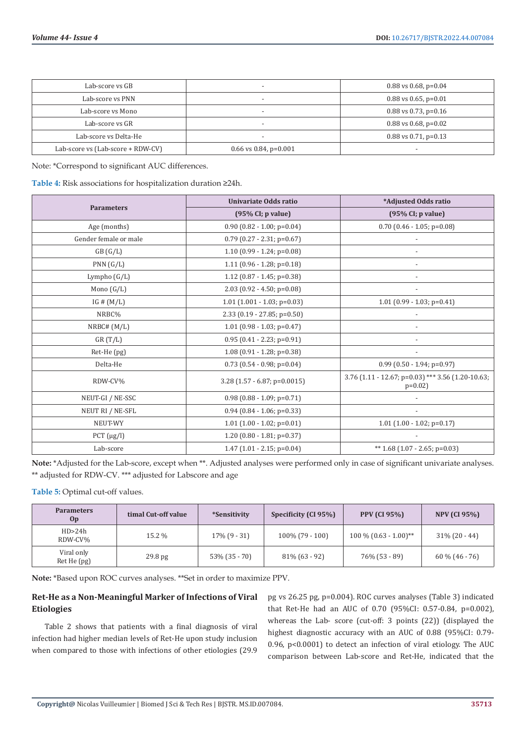| Lab-score ys GB                   | $\overline{\phantom{a}}$      | $0.88$ vs $0.68$ , p= $0.04$ |
|-----------------------------------|-------------------------------|------------------------------|
| Lab-score vs PNN                  | $\overline{\phantom{0}}$      | $0.88$ vs $0.65$ , p= $0.01$ |
| Lab-score vs Mono                 | $\overline{\phantom{a}}$      | $0.88$ vs 0.73, p=0.16       |
| Lab-score vs GR                   | $\overline{\phantom{0}}$      | $0.88$ vs $0.68$ , p= $0.02$ |
| Lab-score vs Delta-He             | $\overline{\phantom{a}}$      | $0.88$ vs $0.71$ , p= $0.13$ |
| Lab-score vs (Lab-score + RDW-CV) | $0.66$ vs $0.84$ , p= $0.001$ | $\overline{\phantom{0}}$     |

Note: \*Correspond to significant AUC differences.

**Table 4:** Risk associations for hospitalization duration ≥24h.

|                       | Univariate Odds ratio                | *Adjusted Odds ratio                                          |  |
|-----------------------|--------------------------------------|---------------------------------------------------------------|--|
| <b>Parameters</b>     | $(95\% \text{ CI}; p \text{ value})$ | $(95\% \text{ CI}; p \text{ value})$                          |  |
| Age (months)          | $0.90$ (0.82 - 1.00; p=0.04)         | $0.70$ (0.46 - 1.05; p=0.08)                                  |  |
| Gender female or male | $0.79$ (0.27 - 2.31; p=0.67)         |                                                               |  |
| GB(G/L)               | $1.10(0.99 - 1.24; p=0.08)$          |                                                               |  |
| PNN(G/L)              | 1.11 $(0.96 - 1.28; p=0.18)$         |                                                               |  |
| Lympho (G/L)          | 1.12 $(0.87 - 1.45; p=0.38)$         |                                                               |  |
| Mono $(G/L)$          | $2.03$ (0.92 - 4.50; p=0.08)         |                                                               |  |
| IG # $(M/L)$          | $1.01$ $(1.001 - 1.03; p=0.03)$      | $1.01$ (0.99 - 1.03; p=0.41)                                  |  |
| NRBC%                 | 2.33 (0.19 - 27.85; p=0.50)          |                                                               |  |
| NRBC# (M/L)           | $1.01$ (0.98 - 1.03; p=0.47)         |                                                               |  |
| GR(T/L)               | $0.95$ (0.41 - 2.23; p=0.91)         |                                                               |  |
| Ret-He (pg)           | $1.08(0.91 - 1.28; p=0.38)$          |                                                               |  |
| Delta-He              | $0.73$ (0.54 - 0.98; p=0.04)         | $0.99$ (0.50 - 1.94; p=0.97)                                  |  |
| RDW-CV%               | $3.28$ (1.57 - 6.87; p=0.0015)       | 3.76 (1.11 - 12.67; p=0.03) *** 3.56 (1.20-10.63;<br>$p=0.02$ |  |
| NEUT-GI / NE-SSC      | $0.98$ (0.88 - 1.09; p=0.71)         |                                                               |  |
| NEUT RI / NE-SFL      | $0.94$ (0.84 - 1.06; p=0.33)         |                                                               |  |
| NEUT-WY               | $1.01$ (1.00 - 1.02; p=0.01)         | $1.01$ $(1.00 - 1.02; p=0.17)$                                |  |
| $PCT (\mu g/l)$       | $1.20$ (0.80 - 1.81; p=0.37)         |                                                               |  |
| Lab-score             | $1.47$ (1.01 - 2.15; p=0.04)         | ** $1.68$ (1.07 - 2.65; p=0.03)                               |  |

**Note:** \*Adjusted for the Lab-score, except when \*\*. Adjusted analyses were performed only in case of significant univariate analyses. \*\* adjusted for RDW-CV. \*\*\* adjusted for Labscore and age

**Table 5:** Optimal cut-off values.

| <b>Parameters</b><br>Op   | timal Cut-off value | <i>*Sensitivity</i> | Specificity (CI 95%) | <b>PPV (CI 95%)</b>     | <b>NPV (CI 95%)</b> |
|---------------------------|---------------------|---------------------|----------------------|-------------------------|---------------------|
| HD > 24h<br>RDW-CV%       | 15.2 %              | $17\%$ (9 - 31)     | $100\%$ (79 - 100)   | $100\%$ (0.63 - 1.00)** | $31\%$ (20 - 44)    |
| Viral only<br>Ret He (pg) | 29.8 pg             | $53\%$ (35 - 70)    | $81\%$ (63 - 92)     | 76% (53 - 89)           | $60\%$ (46 - 76)    |

**Note:** \*Based upon ROC curves analyses. \*\*Set in order to maximize PPV.

# **Ret-He as a Non-Meaningful Marker of Infections of Viral Etiologies**

Table 2 shows that patients with a final diagnosis of viral infection had higher median levels of Ret-He upon study inclusion when compared to those with infections of other etiologies (29.9

pg vs 26.25 pg, p=0.004). ROC curves analyses (Table 3) indicated that Ret-He had an AUC of 0.70 (95%CI: 0.57-0.84, p=0.002), whereas the Lab- score (cut-off: 3 points (22)) (displayed the highest diagnostic accuracy with an AUC of 0.88 (95%CI: 0.79- 0.96, p<0.0001) to detect an infection of viral etiology. The AUC comparison between Lab-score and Ret-He, indicated that the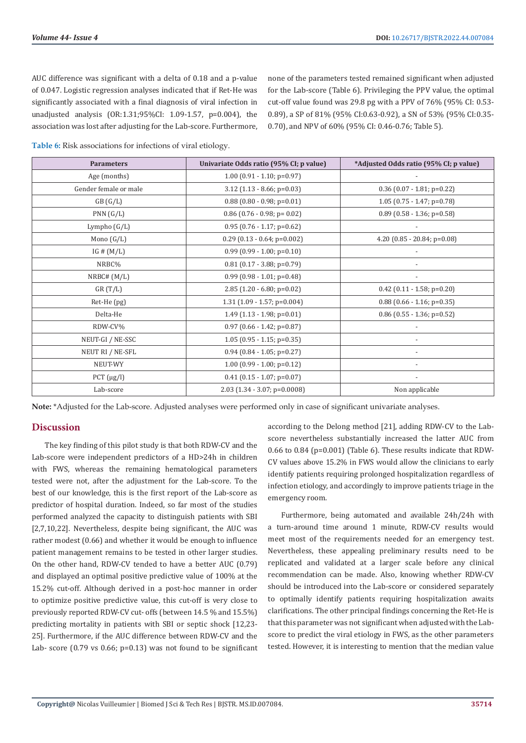AUC difference was significant with a delta of 0.18 and a p-value of 0.047. Logistic regression analyses indicated that if Ret-He was significantly associated with a final diagnosis of viral infection in unadjusted analysis (OR:1.31;95%CI: 1.09-1.57, p=0.004), the association was lost after adjusting for the Lab-score. Furthermore, none of the parameters tested remained significant when adjusted for the Lab-score (Table 6). Privileging the PPV value, the optimal cut-off value found was 29.8 pg with a PPV of 76% (95% CI: 0.53- 0.89), a SP of 81% (95% CI:0.63-0.92), a SN of 53% (95% CI:0.35- 0.70), and NPV of 60% (95% CI: 0.46-0.76; Table 5).

**Table 6:** Risk associations for infections of viral etiology.

| <b>Parameters</b>     | Univariate Odds ratio (95% CI; p value) | *Adjusted Odds ratio (95% CI; p value) |  |
|-----------------------|-----------------------------------------|----------------------------------------|--|
| Age (months)          | $1.00$ (0.91 - 1.10; p=0.97)            |                                        |  |
| Gender female or male | $3.12$ (1.13 - 8.66; p=0.03)            | $0.36$ (0.07 - 1.81; p=0.22)           |  |
| GB(G/L)               | $0.88$ (0.80 - 0.98; p=0.01)            | $1.05$ (0.75 - 1.47; p=0.78)           |  |
| PNN(G/L)              | $0.86$ (0.76 - 0.98; p= 0.02)           | $0.89$ (0.58 - 1.36; p=0.58)           |  |
| Lympho (G/L)          | $0.95$ (0.76 - 1.17; p=0.62)            |                                        |  |
| Mono $(G/L)$          | $0.29$ (0.13 - 0.64; p=0.002)           | 4.20 $(0.85 - 20.84; p=0.08)$          |  |
| IG # $(M/L)$          | $0.99$ (0.99 - 1.00; p=0.10)            |                                        |  |
| NRBC%                 | $0.81$ (0.17 - 3.88; p=0.79)            |                                        |  |
| NRBC# (M/L)           | $0.99$ (0.98 - 1.01; p=0.48)            |                                        |  |
| GR(T/L)               | $2.85$ (1.20 - 6.80; p=0.02)            | $0.42$ (0.11 - 1.58; p=0.20)           |  |
| Ret-He (pg)           | $1.31$ (1.09 - 1.57; p=0.004)           | $0.88$ (0.66 - 1.16; p=0.35)           |  |
| Delta-He              | $1.49$ (1.13 - 1.98; p=0.01)            | $0.86$ (0.55 - 1.36; p=0.52)           |  |
| RDW-CV%               | $0.97$ (0.66 - 1.42; p=0.87)            |                                        |  |
| NEUT-GI / NE-SSC      | $1.05(0.95 - 1.15; p=0.35)$             |                                        |  |
| NEUT RI / NE-SFL      | $0.94$ (0.84 - 1.05; p=0.27)            |                                        |  |
| NEUT-WY               | $1.00$ (0.99 - 1.00; p=0.12)            |                                        |  |
| $PCT (\mu g/l)$       | $0.41$ (0.15 - 1.07; p=0.07)            |                                        |  |
| Lab-score             | $2.03$ (1.34 - 3.07; p=0.0008)          | Non applicable                         |  |

**Note:** \*Adjusted for the Lab-score. Adjusted analyses were performed only in case of significant univariate analyses.

### **Discussion**

The key finding of this pilot study is that both RDW-CV and the Lab-score were independent predictors of a HD>24h in children with FWS, whereas the remaining hematological parameters tested were not, after the adjustment for the Lab-score. To the best of our knowledge, this is the first report of the Lab-score as predictor of hospital duration. Indeed, so far most of the studies performed analyzed the capacity to distinguish patients with SBI [2,7,10,22]. Nevertheless, despite being significant, the AUC was rather modest (0.66) and whether it would be enough to influence patient management remains to be tested in other larger studies. On the other hand, RDW-CV tended to have a better AUC (0.79) and displayed an optimal positive predictive value of 100% at the 15.2% cut-off. Although derived in a post-hoc manner in order to optimize positive predictive value, this cut-off is very close to previously reported RDW-CV cut- offs (between 14.5 % and 15.5%) predicting mortality in patients with SBI or septic shock [12,23- 25]. Furthermore, if the AUC difference between RDW-CV and the Lab- score (0.79 vs 0.66; p=0.13) was not found to be significant

according to the Delong method [21], adding RDW-CV to the Labscore nevertheless substantially increased the latter AUC from 0.66 to 0.84 (p=0.001) (Table 6). These results indicate that RDW-CV values above 15.2% in FWS would allow the clinicians to early identify patients requiring prolonged hospitalization regardless of infection etiology, and accordingly to improve patients triage in the emergency room.

Furthermore, being automated and available 24h/24h with a turn-around time around 1 minute, RDW-CV results would meet most of the requirements needed for an emergency test. Nevertheless, these appealing preliminary results need to be replicated and validated at a larger scale before any clinical recommendation can be made. Also, knowing whether RDW-CV should be introduced into the Lab-score or considered separately to optimally identify patients requiring hospitalization awaits clarifications. The other principal findings concerning the Ret-He is that this parameter was not significant when adjusted with the Labscore to predict the viral etiology in FWS, as the other parameters tested. However, it is interesting to mention that the median value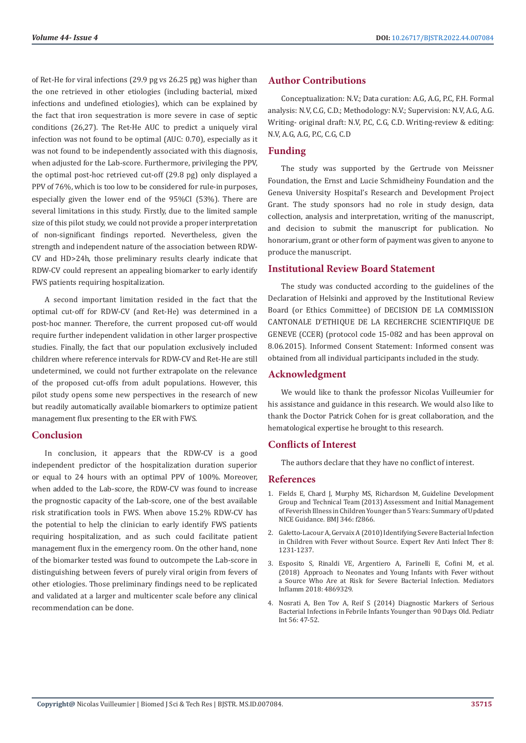of Ret-He for viral infections (29.9 pg vs 26.25 pg) was higher than the one retrieved in other etiologies (including bacterial, mixed infections and undefined etiologies), which can be explained by the fact that iron sequestration is more severe in case of septic conditions (26,27). The Ret-He AUC to predict a uniquely viral infection was not found to be optimal (AUC: 0.70), especially as it was not found to be independently associated with this diagnosis, when adjusted for the Lab-score. Furthermore, privileging the PPV, the optimal post-hoc retrieved cut-off (29.8 pg) only displayed a PPV of 76%, which is too low to be considered for rule-in purposes, especially given the lower end of the 95%CI (53%). There are several limitations in this study. Firstly, due to the limited sample size of this pilot study, we could not provide a proper interpretation of non-significant findings reported. Nevertheless, given the strength and independent nature of the association between RDW-CV and HD>24h, those preliminary results clearly indicate that RDW-CV could represent an appealing biomarker to early identify FWS patients requiring hospitalization.

A second important limitation resided in the fact that the optimal cut-off for RDW-CV (and Ret-He) was determined in a post-hoc manner. Therefore, the current proposed cut-off would require further independent validation in other larger prospective studies. Finally, the fact that our population exclusively included children where reference intervals for RDW-CV and Ret-He are still undetermined, we could not further extrapolate on the relevance of the proposed cut-offs from adult populations. However, this pilot study opens some new perspectives in the research of new but readily automatically available biomarkers to optimize patient management flux presenting to the ER with FWS.

### **Conclusion**

In conclusion, it appears that the RDW-CV is a good independent predictor of the hospitalization duration superior or equal to 24 hours with an optimal PPV of 100%. Moreover, when added to the Lab-score, the RDW-CV was found to increase the prognostic capacity of the Lab-score, one of the best available risk stratification tools in FWS. When above 15.2% RDW-CV has the potential to help the clinician to early identify FWS patients requiring hospitalization, and as such could facilitate patient management flux in the emergency room. On the other hand, none of the biomarker tested was found to outcompete the Lab-score in distinguishing between fevers of purely viral origin from fevers of other etiologies. Those preliminary findings need to be replicated and validated at a larger and multicenter scale before any clinical recommendation can be done.

# **Author Contributions**

Conceptualization: N.V.; Data curation: A.G, A.G, P.C, F.H. Formal analysis: N.V, C.G, C.D.; Methodology: N.V.; Supervision: N.V, A.G, A.G. Writing- original draft: N.V, P.C, C.G, C.D. Writing-review & editing: N.V, A.G, A.G, P.C, C.G, C.D

# **Funding**

The study was supported by the Gertrude von Meissner Foundation, the Ernst and Lucie Schmidheiny Foundation and the Geneva University Hospital's Research and Development Project Grant. The study sponsors had no role in study design, data collection, analysis and interpretation, writing of the manuscript, and decision to submit the manuscript for publication. No honorarium, grant or other form of payment was given to anyone to produce the manuscript.

# **Institutional Review Board Statement**

The study was conducted according to the guidelines of the Declaration of Helsinki and approved by the Institutional Review Board (or Ethics Committee) of DECISION DE LA COMMISSION CANTONALE D'ETHIQUE DE LA RECHERCHE SCIENTIFIQUE DE GENEVE (CCER) (protocol code 15-082 and has been approval on 8.06.2015). Informed Consent Statement: Informed consent was obtained from all individual participants included in the study.

# **Acknowledgment**

We would like to thank the professor Nicolas Vuilleumier for his assistance and guidance in this research. We would also like to thank the Doctor Patrick Cohen for is great collaboration, and the hematological expertise he brought to this research.

# **Conflicts of Interest**

The authors declare that they have no conflict of interest.

# **References**

- 1. Fields E, Chard J, Murphy MS, Richardson M, Guideline [Development](https://pubmed.ncbi.nlm.nih.gov/23697671/) Group and Technical [Team \(2013\) Assessment](https://pubmed.ncbi.nlm.nih.gov/23697671/) and Initial Management of Feverish Illness [inChildrenYounger](https://pubmed.ncbi.nlm.nih.gov/23697671/) than 5 Years: Summary ofUpdated NICE Guidance. BMJ [346: f2866.](https://pubmed.ncbi.nlm.nih.gov/23697671/)
- 2. Galetto-Lacour A, Gervaix A (2010) Identifying Severe Bacterial Infection in Children with Fever [without Source.](https://pubmed.ncbi.nlm.nih.gov/21073288/) Expert Rev Anti Infect Ther 8: [1231-1237.](https://pubmed.ncbi.nlm.nih.gov/21073288/)
- 3. Esposito S, Rinaldi VE, [Argentiero](https://pubmed.ncbi.nlm.nih.gov/30581369/) A, Farinelli E, Cofini M, et al. (2018) Approach [to Neonates and](https://pubmed.ncbi.nlm.nih.gov/30581369/) Young Infants with Fever without a Source Who Are at Risk for [Severe Bacterial](https://pubmed.ncbi.nlm.nih.gov/30581369/) Infection. Mediators Inflamm 2018: [4869329.](https://pubmed.ncbi.nlm.nih.gov/30581369/)
- 4. Nosrati A, Ben Tov A, Reif S (2014) [Diagnostic](https://pubmed.ncbi.nlm.nih.gov/23937512/) Markers of Serious Bacterial [Infections](https://pubmed.ncbi.nlm.nih.gov/23937512/) in Febrile Infants Younger than 90 Days Old. Pediatr Int 56: [47-52.](https://pubmed.ncbi.nlm.nih.gov/23937512/)